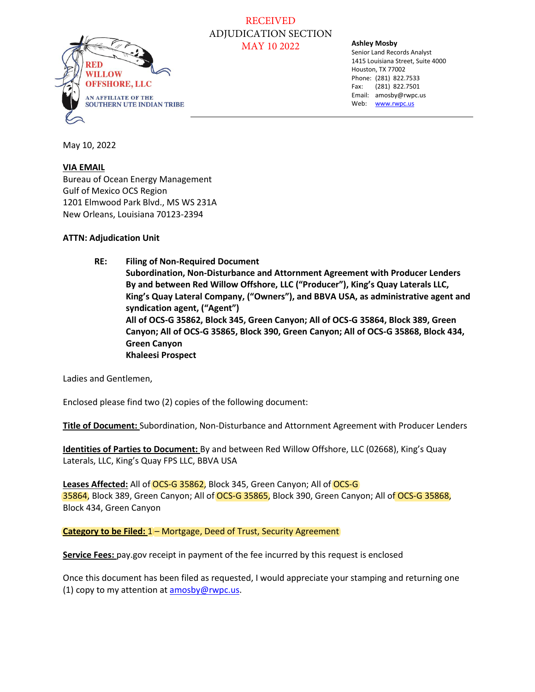

### RECEIVED ADJUDICATION SECTION MAY 10 2022

#### **Ashley Mosby**

Senior Land Records Analyst 1415 Louisiana Street, Suite 4000 Houston, TX 77002 Phone: (281) 822.7533 Fax: (281) 822.7501 Email: amosby@rwpc.us Web: [www.rwpc.us](http://www.rwpc.us/)

May 10, 2022

### **VIA EMAIL**

Bureau of Ocean Energy Management Gulf of Mexico OCS Region 1201 Elmwood Park Blvd., MS WS 231A New Orleans, Louisiana 70123-2394

### **ATTN: Adjudication Unit**

**RE: Filing of Non-Required Document Subordination, Non-Disturbance and Attornment Agreement with Producer Lenders By and between Red Willow Offshore, LLC ("Producer"), King's Quay Laterals LLC, King's Quay Lateral Company, ("Owners"), and BBVA USA, as administrative agent and syndication agent, ("Agent") All of OCS-G 35862, Block 345, Green Canyon; All of OCS-G 35864, Block 389, Green Canyon; All of OCS-G 35865, Block 390, Green Canyon; All of OCS-G 35868, Block 434, Green Canyon Khaleesi Prospect** 

Ladies and Gentlemen,

Enclosed please find two (2) copies of the following document:

**Title of Document:** Subordination, Non-Disturbance and Attornment Agreement with Producer Lenders

**Identities of Parties to Document:** By and between Red Willow Offshore, LLC (02668), King's Quay Laterals, LLC, King's Quay FPS LLC, BBVA USA

Leases Affected: All of OCS-G 35862, Block 345, Green Canyon; All of OCS-G 35864, Block 389, Green Canyon; All of OCS-G 35865, Block 390, Green Canyon; All of OCS-G 35868, Block 434, Green Canyon

#### Category to be Filed: 1- Mortgage, Deed of Trust, Security Agreement

**Service Fees:** pay.gov receipt in payment of the fee incurred by this request is enclosed

Once this document has been filed as requested, I would appreciate your stamping and returning one (1) copy to my attention at [amosby@rwpc.us.](mailto:amosby@rwpc.us)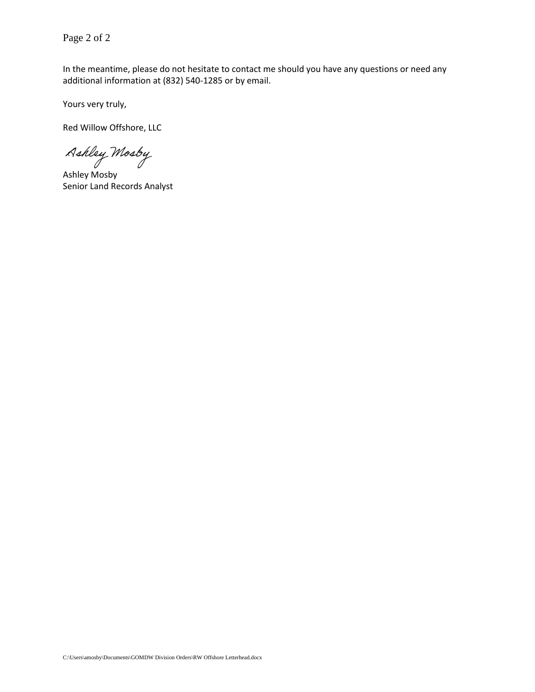Page 2 of 2

In the meantime, please do not hesitate to contact me should you have any questions or need any additional information at (832) 540-1285 or by email.

Yours very truly,

Red Willow Offshore, LLC

Ashley Mosby

Ashley Mosby Senior Land Records Analyst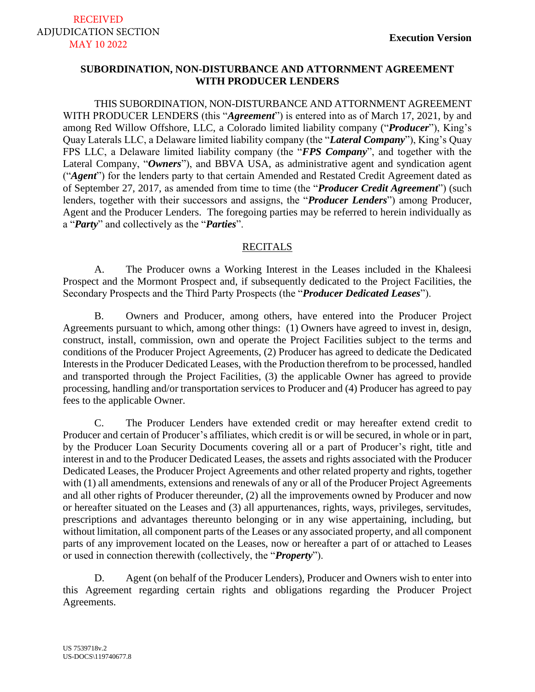## **SUBORDINATION, NON-DISTURBANCE AND ATTORNMENT AGREEMENT WITH PRODUCER LENDERS**

THIS SUBORDINATION, NON-DISTURBANCE AND ATTORNMENT AGREEMENT WITH PRODUCER LENDERS (this "*Agreement*") is entered into as of March 17, 2021, by and among Red Willow Offshore, LLC, a Colorado limited liability company ("*Producer*"), King's Quay Laterals LLC, a Delaware limited liability company (the "*Lateral Company*"), King's Quay FPS LLC, a Delaware limited liability company (the "*FPS Company*", and together with the Lateral Company, "*Owners*"), and BBVA USA, as administrative agent and syndication agent ("*Agent*") for the lenders party to that certain Amended and Restated Credit Agreement dated as of September 27, 2017, as amended from time to time (the "*Producer Credit Agreement*") (such lenders, together with their successors and assigns, the "*Producer Lenders*") among Producer, Agent and the Producer Lenders. The foregoing parties may be referred to herein individually as a "*Party*" and collectively as the "*Parties*".

### **RECITALS**

A. The Producer owns a Working Interest in the Leases included in the Khaleesi Prospect and the Mormont Prospect and, if subsequently dedicated to the Project Facilities, the Secondary Prospects and the Third Party Prospects (the "*Producer Dedicated Leases*").

B. Owners and Producer, among others, have entered into the Producer Project Agreements pursuant to which, among other things: (1) Owners have agreed to invest in, design, construct, install, commission, own and operate the Project Facilities subject to the terms and conditions of the Producer Project Agreements, (2) Producer has agreed to dedicate the Dedicated Interests in the Producer Dedicated Leases, with the Production therefrom to be processed, handled and transported through the Project Facilities, (3) the applicable Owner has agreed to provide processing, handling and/or transportation services to Producer and (4) Producer has agreed to pay fees to the applicable Owner.

C. The Producer Lenders have extended credit or may hereafter extend credit to Producer and certain of Producer's affiliates, which credit is or will be secured, in whole or in part, by the Producer Loan Security Documents covering all or a part of Producer's right, title and interest in and to the Producer Dedicated Leases, the assets and rights associated with the Producer Dedicated Leases, the Producer Project Agreements and other related property and rights, together with (1) all amendments, extensions and renewals of any or all of the Producer Project Agreements and all other rights of Producer thereunder, (2) all the improvements owned by Producer and now or hereafter situated on the Leases and (3) all appurtenances, rights, ways, privileges, servitudes, prescriptions and advantages thereunto belonging or in any wise appertaining, including, but without limitation, all component parts of the Leases or any associated property, and all component parts of any improvement located on the Leases, now or hereafter a part of or attached to Leases or used in connection therewith (collectively, the "*Property*").

D. Agent (on behalf of the Producer Lenders), Producer and Owners wish to enter into this Agreement regarding certain rights and obligations regarding the Producer Project Agreements.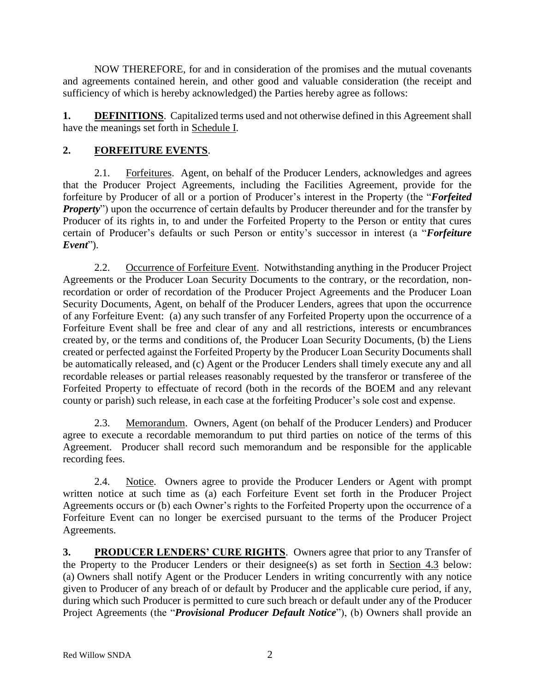NOW THEREFORE, for and in consideration of the promises and the mutual covenants and agreements contained herein, and other good and valuable consideration (the receipt and sufficiency of which is hereby acknowledged) the Parties hereby agree as follows:

**1. DEFINITIONS**. Capitalized terms used and not otherwise defined in this Agreement shall have the meanings set forth in Schedule I.

# **2. FORFEITURE EVENTS**.

2.1. Forfeitures. Agent, on behalf of the Producer Lenders, acknowledges and agrees that the Producer Project Agreements, including the Facilities Agreement, provide for the forfeiture by Producer of all or a portion of Producer's interest in the Property (the "*Forfeited Property*") upon the occurrence of certain defaults by Producer thereunder and for the transfer by Producer of its rights in, to and under the Forfeited Property to the Person or entity that cures certain of Producer's defaults or such Person or entity's successor in interest (a "*Forfeiture Event*").

2.2. Occurrence of Forfeiture Event. Notwithstanding anything in the Producer Project Agreements or the Producer Loan Security Documents to the contrary, or the recordation, nonrecordation or order of recordation of the Producer Project Agreements and the Producer Loan Security Documents, Agent, on behalf of the Producer Lenders, agrees that upon the occurrence of any Forfeiture Event: (a) any such transfer of any Forfeited Property upon the occurrence of a Forfeiture Event shall be free and clear of any and all restrictions, interests or encumbrances created by, or the terms and conditions of, the Producer Loan Security Documents, (b) the Liens created or perfected against the Forfeited Property by the Producer Loan Security Documents shall be automatically released, and (c) Agent or the Producer Lenders shall timely execute any and all recordable releases or partial releases reasonably requested by the transferor or transferee of the Forfeited Property to effectuate of record (both in the records of the BOEM and any relevant county or parish) such release, in each case at the forfeiting Producer's sole cost and expense.

2.3. Memorandum. Owners, Agent (on behalf of the Producer Lenders) and Producer agree to execute a recordable memorandum to put third parties on notice of the terms of this Agreement. Producer shall record such memorandum and be responsible for the applicable recording fees.

2.4. Notice. Owners agree to provide the Producer Lenders or Agent with prompt written notice at such time as (a) each Forfeiture Event set forth in the Producer Project Agreements occurs or (b) each Owner's rights to the Forfeited Property upon the occurrence of a Forfeiture Event can no longer be exercised pursuant to the terms of the Producer Project Agreements.

**3. PRODUCER LENDERS' CURE RIGHTS**. Owners agree that prior to any Transfer of the Property to the Producer Lenders or their designee(s) as set forth in Section [4.3](#page-5-0) below: (a) Owners shall notify Agent or the Producer Lenders in writing concurrently with any notice given to Producer of any breach of or default by Producer and the applicable cure period, if any, during which such Producer is permitted to cure such breach or default under any of the Producer Project Agreements (the "*Provisional Producer Default Notice*"), (b) Owners shall provide an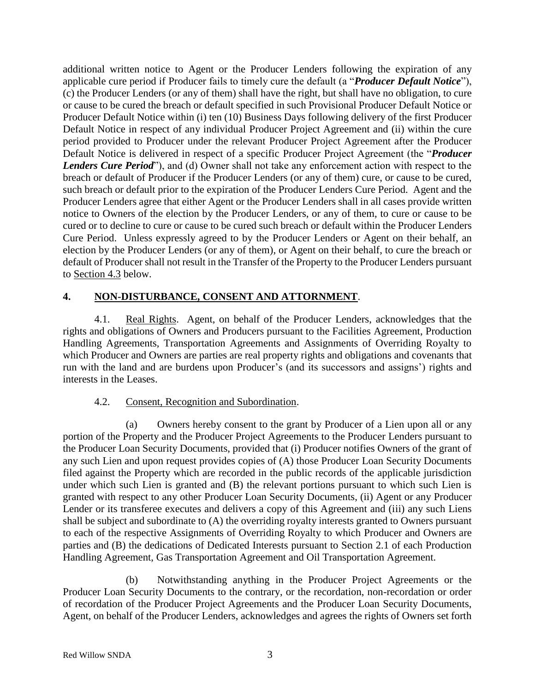additional written notice to Agent or the Producer Lenders following the expiration of any applicable cure period if Producer fails to timely cure the default (a "*Producer Default Notice*"), (c) the Producer Lenders (or any of them) shall have the right, but shall have no obligation, to cure or cause to be cured the breach or default specified in such Provisional Producer Default Notice or Producer Default Notice within (i) ten (10) Business Days following delivery of the first Producer Default Notice in respect of any individual Producer Project Agreement and (ii) within the cure period provided to Producer under the relevant Producer Project Agreement after the Producer Default Notice is delivered in respect of a specific Producer Project Agreement (the "*Producer Lenders Cure Period*"), and (d) Owner shall not take any enforcement action with respect to the breach or default of Producer if the Producer Lenders (or any of them) cure, or cause to be cured, such breach or default prior to the expiration of the Producer Lenders Cure Period. Agent and the Producer Lenders agree that either Agent or the Producer Lenders shall in all cases provide written notice to Owners of the election by the Producer Lenders, or any of them, to cure or cause to be cured or to decline to cure or cause to be cured such breach or default within the Producer Lenders Cure Period. Unless expressly agreed to by the Producer Lenders or Agent on their behalf, an election by the Producer Lenders (or any of them), or Agent on their behalf, to cure the breach or default of Producer shall not result in the Transfer of the Property to the Producer Lenders pursuant to Section [4.3](#page-5-0) below.

## **4. NON-DISTURBANCE, CONSENT AND ATTORNMENT**.

4.1. Real Rights. Agent, on behalf of the Producer Lenders, acknowledges that the rights and obligations of Owners and Producers pursuant to the Facilities Agreement, Production Handling Agreements, Transportation Agreements and Assignments of Overriding Royalty to which Producer and Owners are parties are real property rights and obligations and covenants that run with the land and are burdens upon Producer's (and its successors and assigns') rights and interests in the Leases.

## 4.2. Consent, Recognition and Subordination.

(a) Owners hereby consent to the grant by Producer of a Lien upon all or any portion of the Property and the Producer Project Agreements to the Producer Lenders pursuant to the Producer Loan Security Documents, provided that (i) Producer notifies Owners of the grant of any such Lien and upon request provides copies of (A) those Producer Loan Security Documents filed against the Property which are recorded in the public records of the applicable jurisdiction under which such Lien is granted and (B) the relevant portions pursuant to which such Lien is granted with respect to any other Producer Loan Security Documents, (ii) Agent or any Producer Lender or its transferee executes and delivers a copy of this Agreement and (iii) any such Liens shall be subject and subordinate to (A) the overriding royalty interests granted to Owners pursuant to each of the respective Assignments of Overriding Royalty to which Producer and Owners are parties and (B) the dedications of Dedicated Interests pursuant to Section 2.1 of each Production Handling Agreement, Gas Transportation Agreement and Oil Transportation Agreement.

(b) Notwithstanding anything in the Producer Project Agreements or the Producer Loan Security Documents to the contrary, or the recordation, non-recordation or order of recordation of the Producer Project Agreements and the Producer Loan Security Documents, Agent, on behalf of the Producer Lenders, acknowledges and agrees the rights of Owners set forth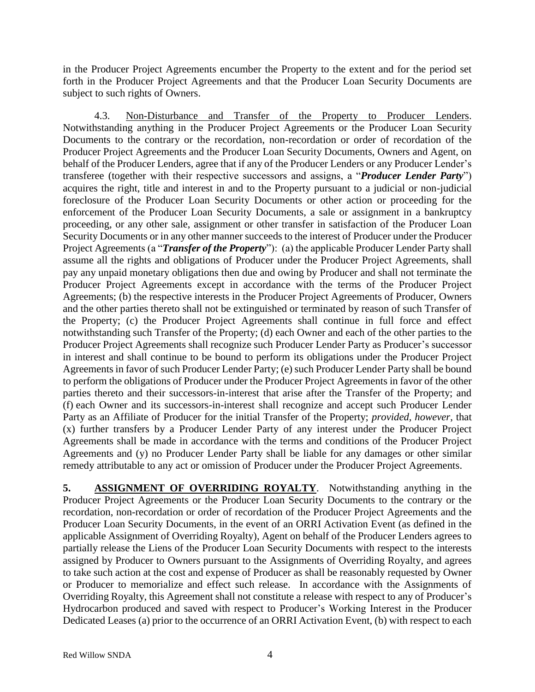in the Producer Project Agreements encumber the Property to the extent and for the period set forth in the Producer Project Agreements and that the Producer Loan Security Documents are subject to such rights of Owners.

<span id="page-5-0"></span>4.3. Non-Disturbance and Transfer of the Property to Producer Lenders. Notwithstanding anything in the Producer Project Agreements or the Producer Loan Security Documents to the contrary or the recordation, non-recordation or order of recordation of the Producer Project Agreements and the Producer Loan Security Documents, Owners and Agent, on behalf of the Producer Lenders, agree that if any of the Producer Lenders or any Producer Lender's transferee (together with their respective successors and assigns, a "*Producer Lender Party*") acquires the right, title and interest in and to the Property pursuant to a judicial or non-judicial foreclosure of the Producer Loan Security Documents or other action or proceeding for the enforcement of the Producer Loan Security Documents, a sale or assignment in a bankruptcy proceeding, or any other sale, assignment or other transfer in satisfaction of the Producer Loan Security Documents or in any other manner succeeds to the interest of Producer under the Producer Project Agreements (a "*Transfer of the Property*"): (a) the applicable Producer Lender Party shall assume all the rights and obligations of Producer under the Producer Project Agreements, shall pay any unpaid monetary obligations then due and owing by Producer and shall not terminate the Producer Project Agreements except in accordance with the terms of the Producer Project Agreements; (b) the respective interests in the Producer Project Agreements of Producer, Owners and the other parties thereto shall not be extinguished or terminated by reason of such Transfer of the Property; (c) the Producer Project Agreements shall continue in full force and effect notwithstanding such Transfer of the Property; (d) each Owner and each of the other parties to the Producer Project Agreements shall recognize such Producer Lender Party as Producer's successor in interest and shall continue to be bound to perform its obligations under the Producer Project Agreements in favor of such Producer Lender Party; (e) such Producer Lender Party shall be bound to perform the obligations of Producer under the Producer Project Agreements in favor of the other parties thereto and their successors-in-interest that arise after the Transfer of the Property; and (f) each Owner and its successors-in-interest shall recognize and accept such Producer Lender Party as an Affiliate of Producer for the initial Transfer of the Property; *provided, however*, that (x) further transfers by a Producer Lender Party of any interest under the Producer Project Agreements shall be made in accordance with the terms and conditions of the Producer Project Agreements and (y) no Producer Lender Party shall be liable for any damages or other similar remedy attributable to any act or omission of Producer under the Producer Project Agreements.

**5. ASSIGNMENT OF OVERRIDING ROYALTY**. Notwithstanding anything in the Producer Project Agreements or the Producer Loan Security Documents to the contrary or the recordation, non-recordation or order of recordation of the Producer Project Agreements and the Producer Loan Security Documents, in the event of an ORRI Activation Event (as defined in the applicable Assignment of Overriding Royalty), Agent on behalf of the Producer Lenders agrees to partially release the Liens of the Producer Loan Security Documents with respect to the interests assigned by Producer to Owners pursuant to the Assignments of Overriding Royalty, and agrees to take such action at the cost and expense of Producer as shall be reasonably requested by Owner or Producer to memorialize and effect such release. In accordance with the Assignments of Overriding Royalty, this Agreement shall not constitute a release with respect to any of Producer's Hydrocarbon produced and saved with respect to Producer's Working Interest in the Producer Dedicated Leases (a) prior to the occurrence of an ORRI Activation Event, (b) with respect to each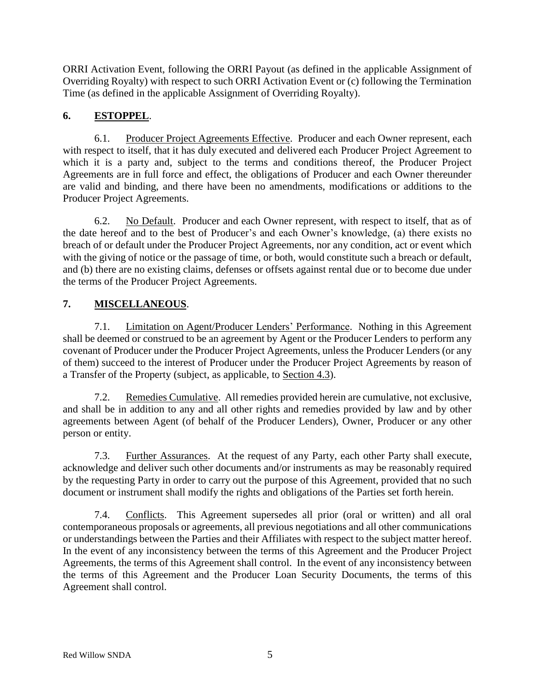ORRI Activation Event, following the ORRI Payout (as defined in the applicable Assignment of Overriding Royalty) with respect to such ORRI Activation Event or (c) following the Termination Time (as defined in the applicable Assignment of Overriding Royalty).

# **6. ESTOPPEL**.

6.1. Producer Project Agreements Effective. Producer and each Owner represent, each with respect to itself, that it has duly executed and delivered each Producer Project Agreement to which it is a party and, subject to the terms and conditions thereof, the Producer Project Agreements are in full force and effect, the obligations of Producer and each Owner thereunder are valid and binding, and there have been no amendments, modifications or additions to the Producer Project Agreements.

6.2. No Default. Producer and each Owner represent, with respect to itself, that as of the date hereof and to the best of Producer's and each Owner's knowledge, (a) there exists no breach of or default under the Producer Project Agreements, nor any condition, act or event which with the giving of notice or the passage of time, or both, would constitute such a breach or default, and (b) there are no existing claims, defenses or offsets against rental due or to become due under the terms of the Producer Project Agreements.

# **7. MISCELLANEOUS**.

7.1. Limitation on Agent/Producer Lenders' Performance. Nothing in this Agreement shall be deemed or construed to be an agreement by Agent or the Producer Lenders to perform any covenant of Producer under the Producer Project Agreements, unless the Producer Lenders (or any of them) succeed to the interest of Producer under the Producer Project Agreements by reason of a Transfer of the Property (subject, as applicable, to Section [4.3\)](#page-5-0).

7.2. Remedies Cumulative. All remedies provided herein are cumulative, not exclusive, and shall be in addition to any and all other rights and remedies provided by law and by other agreements between Agent (of behalf of the Producer Lenders), Owner, Producer or any other person or entity.

7.3. Further Assurances. At the request of any Party, each other Party shall execute, acknowledge and deliver such other documents and/or instruments as may be reasonably required by the requesting Party in order to carry out the purpose of this Agreement, provided that no such document or instrument shall modify the rights and obligations of the Parties set forth herein.

7.4. Conflicts. This Agreement supersedes all prior (oral or written) and all oral contemporaneous proposals or agreements, all previous negotiations and all other communications or understandings between the Parties and their Affiliates with respect to the subject matter hereof. In the event of any inconsistency between the terms of this Agreement and the Producer Project Agreements, the terms of this Agreement shall control. In the event of any inconsistency between the terms of this Agreement and the Producer Loan Security Documents, the terms of this Agreement shall control.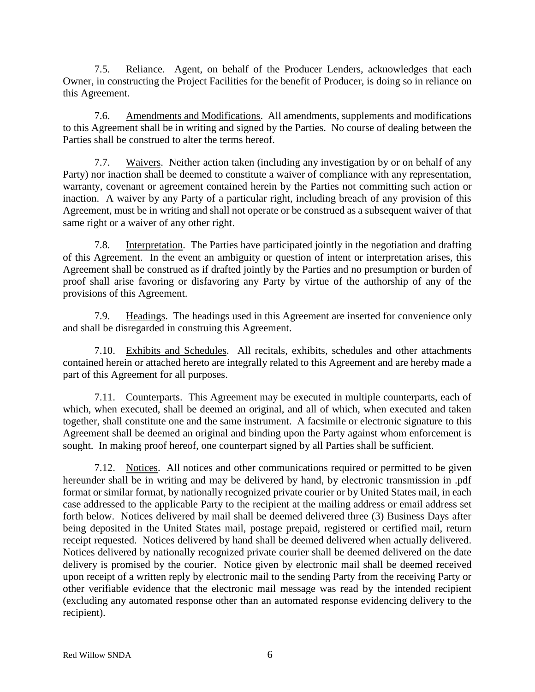7.5. Reliance. Agent, on behalf of the Producer Lenders, acknowledges that each Owner, in constructing the Project Facilities for the benefit of Producer, is doing so in reliance on this Agreement.

7.6. Amendments and Modifications. All amendments, supplements and modifications to this Agreement shall be in writing and signed by the Parties. No course of dealing between the Parties shall be construed to alter the terms hereof.

7.7. Waivers. Neither action taken (including any investigation by or on behalf of any Party) nor inaction shall be deemed to constitute a waiver of compliance with any representation, warranty, covenant or agreement contained herein by the Parties not committing such action or inaction. A waiver by any Party of a particular right, including breach of any provision of this Agreement, must be in writing and shall not operate or be construed as a subsequent waiver of that same right or a waiver of any other right.

7.8. Interpretation. The Parties have participated jointly in the negotiation and drafting of this Agreement. In the event an ambiguity or question of intent or interpretation arises, this Agreement shall be construed as if drafted jointly by the Parties and no presumption or burden of proof shall arise favoring or disfavoring any Party by virtue of the authorship of any of the provisions of this Agreement.

7.9. Headings. The headings used in this Agreement are inserted for convenience only and shall be disregarded in construing this Agreement.

7.10. Exhibits and Schedules. All recitals, exhibits, schedules and other attachments contained herein or attached hereto are integrally related to this Agreement and are hereby made a part of this Agreement for all purposes.

7.11. Counterparts. This Agreement may be executed in multiple counterparts, each of which, when executed, shall be deemed an original, and all of which, when executed and taken together, shall constitute one and the same instrument. A facsimile or electronic signature to this Agreement shall be deemed an original and binding upon the Party against whom enforcement is sought. In making proof hereof, one counterpart signed by all Parties shall be sufficient.

7.12. Notices. All notices and other communications required or permitted to be given hereunder shall be in writing and may be delivered by hand, by electronic transmission in .pdf format or similar format, by nationally recognized private courier or by United States mail, in each case addressed to the applicable Party to the recipient at the mailing address or email address set forth below. Notices delivered by mail shall be deemed delivered three (3) Business Days after being deposited in the United States mail, postage prepaid, registered or certified mail, return receipt requested. Notices delivered by hand shall be deemed delivered when actually delivered. Notices delivered by nationally recognized private courier shall be deemed delivered on the date delivery is promised by the courier. Notice given by electronic mail shall be deemed received upon receipt of a written reply by electronic mail to the sending Party from the receiving Party or other verifiable evidence that the electronic mail message was read by the intended recipient (excluding any automated response other than an automated response evidencing delivery to the recipient).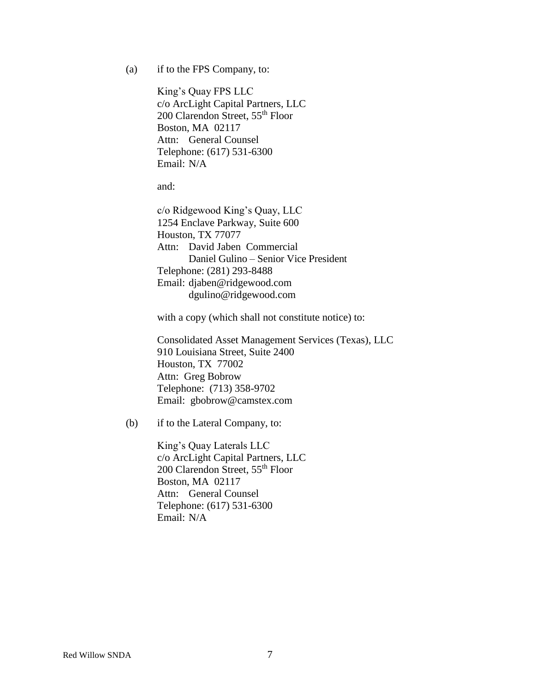(a) if to the FPS Company, to:

King's Quay FPS LLC c/o ArcLight Capital Partners, LLC 200 Clarendon Street, 55th Floor Boston, MA 02117 Attn: General Counsel Telephone: (617) 531-6300 Email: N/A

and:

c/o Ridgewood King's Quay, LLC 1254 Enclave Parkway, Suite 600 Houston, TX 77077 Attn: David Jaben Commercial Daniel Gulino – Senior Vice President Telephone: (281) 293-8488 Email: djaben@ridgewood.com dgulino@ridgewood.com

with a copy (which shall not constitute notice) to:

Consolidated Asset Management Services (Texas), LLC 910 Louisiana Street, Suite 2400 Houston, TX 77002 Attn: Greg Bobrow Telephone: (713) 358-9702 Email: gbobrow@camstex.com

(b) if to the Lateral Company, to:

King's Quay Laterals LLC c/o ArcLight Capital Partners, LLC 200 Clarendon Street, 55th Floor Boston, MA 02117 Attn: General Counsel Telephone: (617) 531-6300 Email: N/A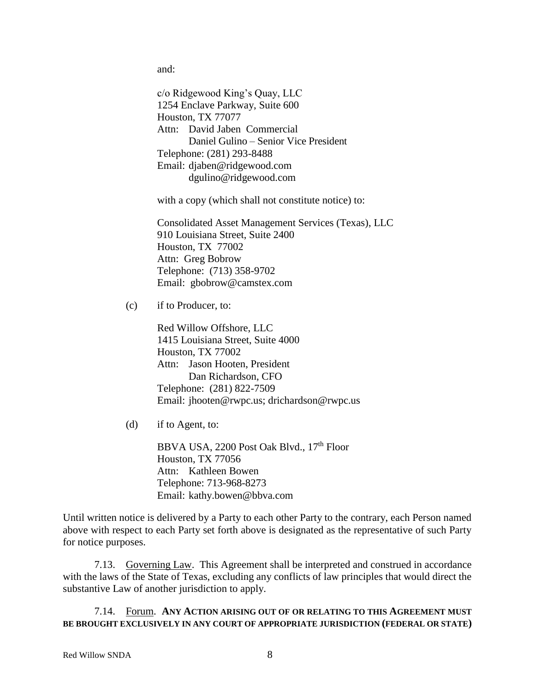and:

c/o Ridgewood King's Quay, LLC 1254 Enclave Parkway, Suite 600 Houston, TX 77077 Attn: David Jaben Commercial Daniel Gulino – Senior Vice President Telephone: (281) 293-8488 Email: djaben@ridgewood.com dgulino@ridgewood.com

with a copy (which shall not constitute notice) to:

Consolidated Asset Management Services (Texas), LLC 910 Louisiana Street, Suite 2400 Houston, TX 77002 Attn: Greg Bobrow Telephone: (713) 358-9702 Email: gbobrow@camstex.com

(c) if to Producer, to:

Red Willow Offshore, LLC 1415 Louisiana Street, Suite 4000 Houston, TX 77002 Attn: Jason Hooten, President Dan Richardson, CFO Telephone: (281) 822-7509 Email: jhooten@rwpc.us; drichardson@rwpc.us

(d) if to Agent, to:

BBVA USA, 2200 Post Oak Blvd., 17th Floor Houston, TX 77056 Attn: Kathleen Bowen Telephone: 713-968-8273 Email: kathy.bowen@bbva.com

Until written notice is delivered by a Party to each other Party to the contrary, each Person named above with respect to each Party set forth above is designated as the representative of such Party for notice purposes.

7.13. Governing Law. This Agreement shall be interpreted and construed in accordance with the laws of the State of Texas, excluding any conflicts of law principles that would direct the substantive Law of another jurisdiction to apply.

7.14. Forum. **ANY ACTION ARISING OUT OF OR RELATING TO THIS AGREEMENT MUST BE BROUGHT EXCLUSIVELY IN ANY COURT OF APPROPRIATE JURISDICTION (FEDERAL OR STATE)**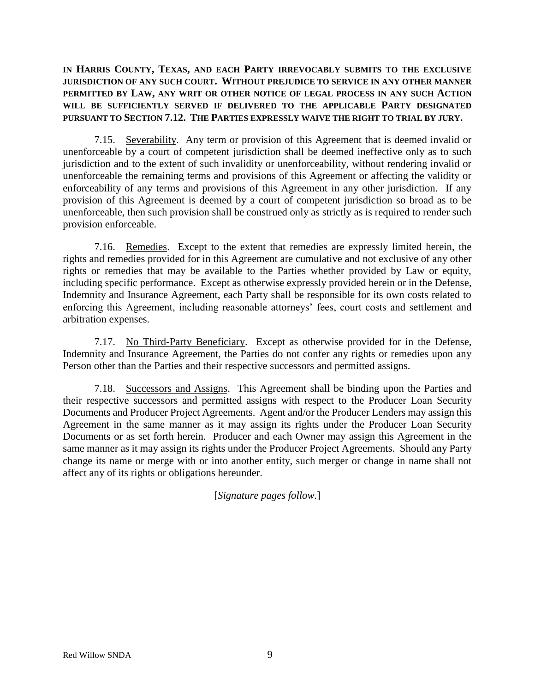**IN HARRIS COUNTY, TEXAS, AND EACH PARTY IRREVOCABLY SUBMITS TO THE EXCLUSIVE JURISDICTION OF ANY SUCH COURT. WITHOUT PREJUDICE TO SERVICE IN ANY OTHER MANNER PERMITTED BY LAW, ANY WRIT OR OTHER NOTICE OF LEGAL PROCESS IN ANY SUCH ACTION WILL BE SUFFICIENTLY SERVED IF DELIVERED TO THE APPLICABLE PARTY DESIGNATED PURSUANT TO SECTION 7.12. THE PARTIES EXPRESSLY WAIVE THE RIGHT TO TRIAL BY JURY.**

7.15. Severability. Any term or provision of this Agreement that is deemed invalid or unenforceable by a court of competent jurisdiction shall be deemed ineffective only as to such jurisdiction and to the extent of such invalidity or unenforceability, without rendering invalid or unenforceable the remaining terms and provisions of this Agreement or affecting the validity or enforceability of any terms and provisions of this Agreement in any other jurisdiction. If any provision of this Agreement is deemed by a court of competent jurisdiction so broad as to be unenforceable, then such provision shall be construed only as strictly as is required to render such provision enforceable.

7.16. Remedies. Except to the extent that remedies are expressly limited herein, the rights and remedies provided for in this Agreement are cumulative and not exclusive of any other rights or remedies that may be available to the Parties whether provided by Law or equity, including specific performance. Except as otherwise expressly provided herein or in the Defense, Indemnity and Insurance Agreement, each Party shall be responsible for its own costs related to enforcing this Agreement, including reasonable attorneys' fees, court costs and settlement and arbitration expenses.

7.17. No Third-Party Beneficiary. Except as otherwise provided for in the Defense, Indemnity and Insurance Agreement, the Parties do not confer any rights or remedies upon any Person other than the Parties and their respective successors and permitted assigns.

7.18. Successors and Assigns. This Agreement shall be binding upon the Parties and their respective successors and permitted assigns with respect to the Producer Loan Security Documents and Producer Project Agreements. Agent and/or the Producer Lenders may assign this Agreement in the same manner as it may assign its rights under the Producer Loan Security Documents or as set forth herein. Producer and each Owner may assign this Agreement in the same manner as it may assign its rights under the Producer Project Agreements. Should any Party change its name or merge with or into another entity, such merger or change in name shall not affect any of its rights or obligations hereunder.

[*Signature pages follow.*]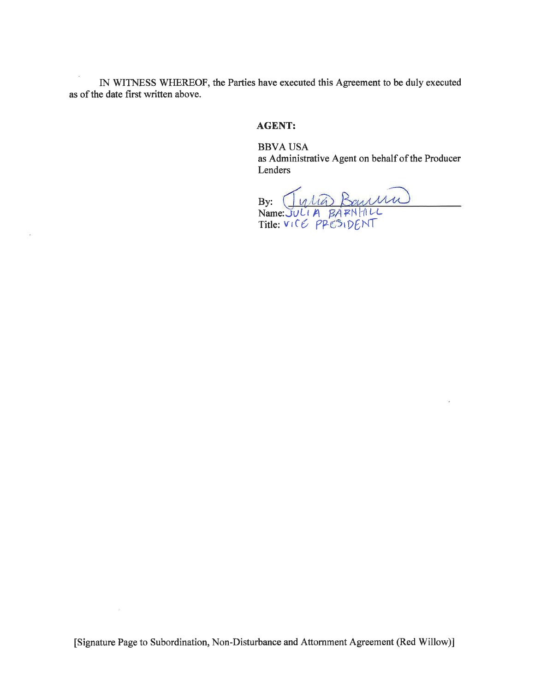IN WITNESS WHEREOF, the Parties have executed this Agreement to be duly executed as of the date first written above.

 $\gamma_{\rm s}$ 

### **AGENT:**

**BBVA USA** as Administrative Agent on behalf of the Producer Lenders

By: JULIA BOULLAND<br>Name: JULIA BARNHILL<br>Title: VICE PPESIDENT

 $\mathcal{S}$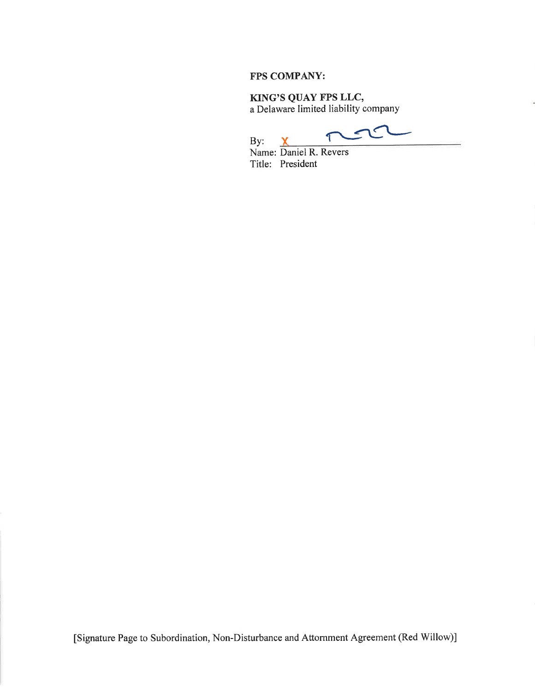### FPS COMPANY:

KING'S QUAY FPS LLC, a Delaware limited liability company

 $\checkmark$  $\epsilon$ T

By: By: X<br>Name: Daniel R. Revers Title: President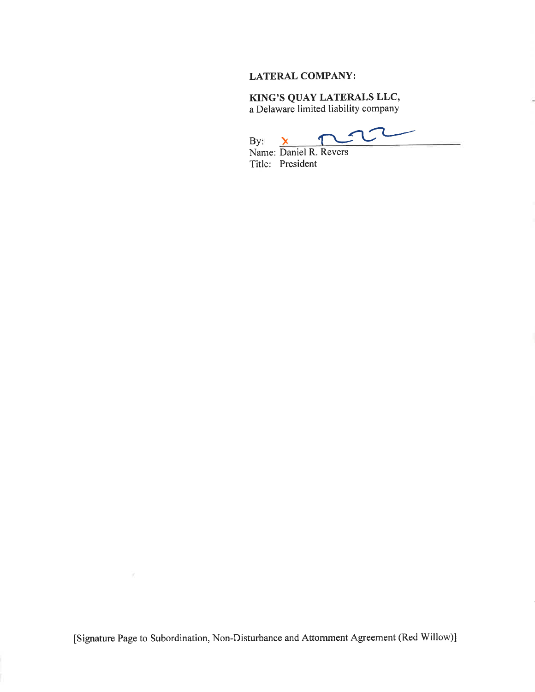### **LATERAL COMPANY:**

## KING'S QUAY LATERALS LLC,

a Delaware limited liability company

ι  $\mathfrak{g}$ By: X<br>Name: Daniel R. Revers By:

Title: President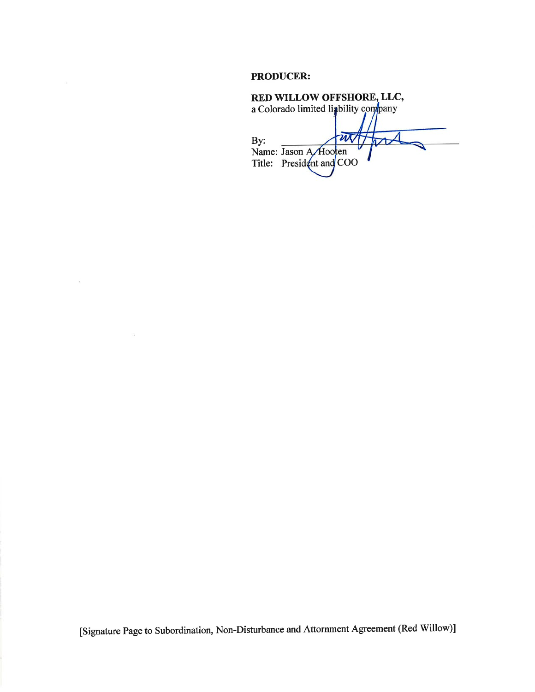#### **PRODUCER:**

 $\omega$ 

 $\mathcal{A}$ 

RED WILLOW OFFSHORE, LLC,<br>a Colorado limited liability company m By:  $\mathcal{V}$ Name: Jason A Hooten Title: President and COO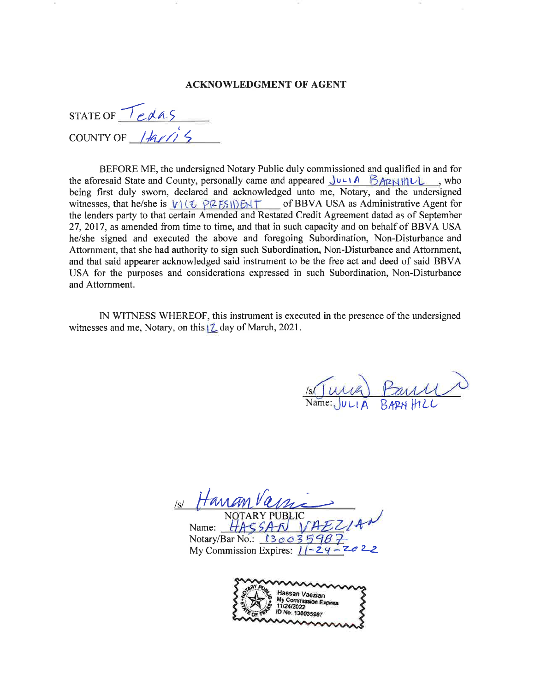#### **ACKNOWLEDGMENT OF AGENT**

STATE OF  $Teds$ COUNTY OF  $\frac{1}{4\pi}$ 

BEFORE ME, the undersigned Notary Public duly commissioned and qualified in and for the aforesaid State and County, personally came and appeared JULIA BARNHILL, who being first duly sworn, declared and acknowledged unto me, Notary, and the undersigned witnesses, that he/she is  $V(\mathbb{U} \text{ PZFS})$   $\mathbb{E}$  FSI $\mathbb{E}$  of BBVA USA as Administrative Agent for the lenders party to that certain Amended and Restated Credit Agreement dated as of September 27, 2017, as amended from time to time, and that in such capacity and on behalf of BBVA USA he/she signed and executed the above and foregoing Subordination, Non-Disturbance and Attornment, that she had authority to sign such Subordination, Non-Disturbance and Attornment, and that said appearer acknowledged said instrument to be the free act and deed of said BBVA USA for the purposes and considerations expressed in such Subordination, Non-Disturbance and Attornment.

IN WITNESS WHEREOF, this instrument is executed in the presence of the undersigned witnesses and me, Notary, on this | Z day of March, 2021.

Name: Notary/Bar No.:  $(300$ My Commission Expires:  $\ell$ 

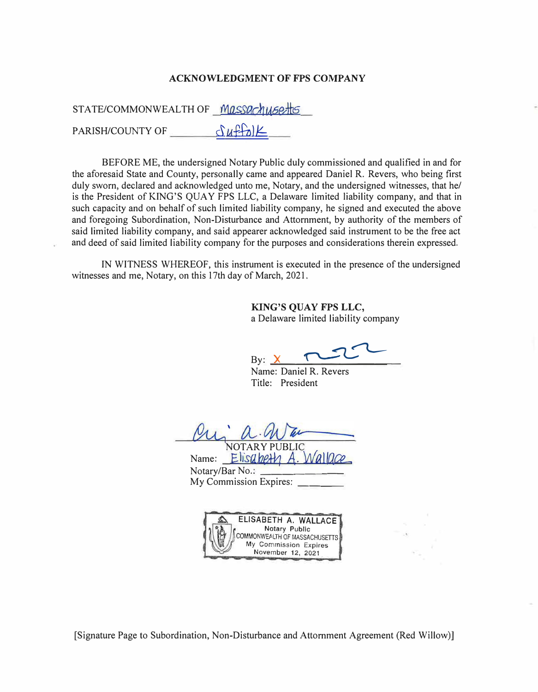#### **ACKNOWLEDGMENT OF FPS COMPANY**

STATE/COMMONWEALTH OF *Massachu6etts* 

PARISH/COUNTY OF  $\frac{\partial u f(x)}{\partial x}$ 

BEFORE ME, the undersigned Notary Public duly commissioned and qualified in and for the aforesaid State and County, personally came and appeared Daniel R. Revers, who being first duly sworn, declared and acknowledged unto me, Notary, and the undersigned witnesses, that he/ is the President of KING'S QUAY FPS LLC, a Delaware limited liability company, and that in such capacity and on behalf of such limited liability company, he signed and executed the above and foregoing Subordination, Non-Disturbance and Attornment, by authority of the members of said limited liability company, and said appearer acknowledged said instrument to be the free act and deed of said limited liability company for the purposes and considerations therein expressed.

IN WITNESS WHEREOF, this instrument is executed in the presence of the undersigned witnesses and me, Notary, on this 17th day of March, 2021.

> **KING'S QUAY FPS LLC,**  a Delaware limited liability company

By:  ${\sf X}$ 

Name: Daniel R. Revers Title: President

NOTARY PUBLIC

Name: **Elisa,beth** Notary/Bar No.: My Commission Expires:

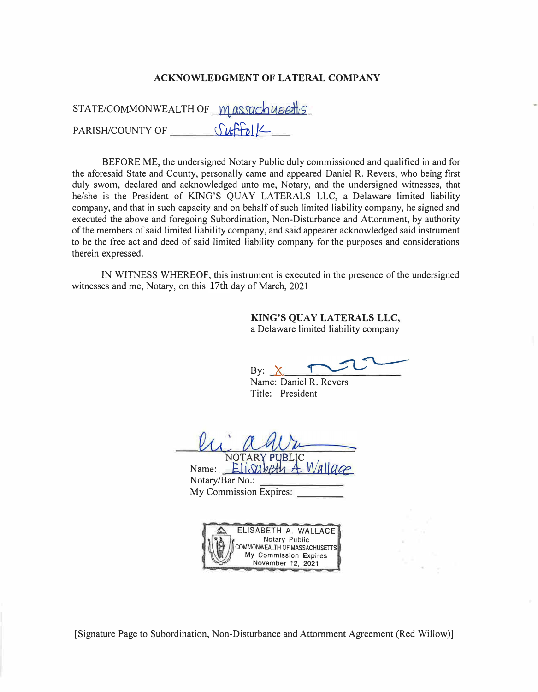#### **ACKNOWLEDGMENT OF LATERAL COMPANY**

STATE/COMMONWEALTH OF M assachusetts PARISH/COUNTY OF *Cuffol* 

BEFORE ME, the undersigned Notary Public duly commissioned and qualified in and for the aforesaid State and County, personally came and appeared Daniel R. Revers, who being first duly sworn, declared and acknowledged unto me, Notary, and the undersigned witnesses, that he/she is the President of KING'S QUAY LATERALS LLC, a Delaware limited liability company, and that in such capacity and on behalf of such limited liability company, he signed and executed the above and foregoing Subordination, Non-Disturbance and Attornment, by authority of the members of said limited liability company, and said appearer acknowledged said instrument to be the free act and deed of said limited liability company for the purposes and considerations therein expressed.

IN WITNESS WHEREOF, this instrument is executed in the presence of the undersigned witnesses and me, Notary, on this 17th day of March, 2021

> **KING'S QUAY LATERALS LLC,**  a Delaware limited liability company

By:  $X$ 

Name: Daniel R. Revers Title: President

NOTARY PUBLIC<br>Name: *��Lisameth A. Wallgge* Notary/Bar No.: My Commission Expires:

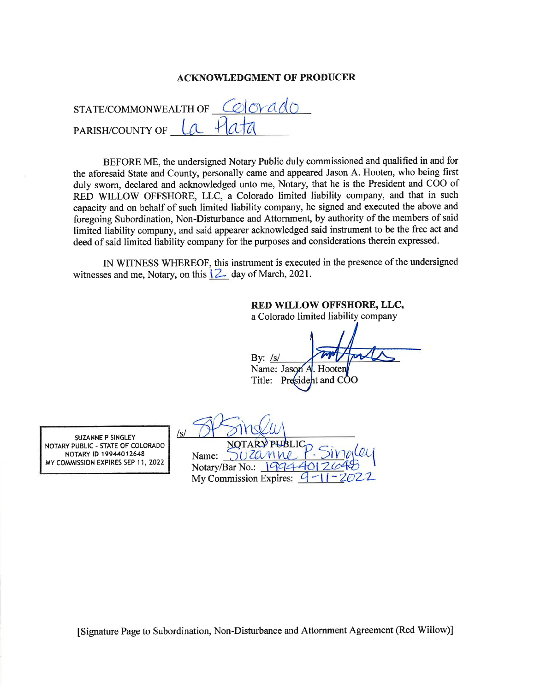#### **ACKNOWLEDGMENT OF PRODUCER**

| STATE/COMMONWEALTH OF COLOR $A$ |          |
|---------------------------------|----------|
| <b>PARISH/COUNTY OF</b>         | La Plata |

BEFORE ME, the undersigned Notary Public duly commissioned and qualified in and for the aforesaid State and County, personally came and appeared Jason A. Hooten, who being first duly sworn, declared and acknowledged unto me, Notary, that he is the President and COO of RED WILLOW OFFSHORE, LLC, a Colorado limited liability company, and that in such capacity and on behalf of such limited liability company, he signed and executed the above and foregoing Subordination, Non-Disturbance and Attornment, by authority of the members of said limited liability company, and said appearer acknowledged said instrument to be the free act and deed of said limited liability company for the purposes and considerations therein expressed.

IN WITNESS WHEREOF, this instrument is executed in the presence of the undersigned witnesses and me, Notary, on this  $\sqrt{2}$  day of March, 2021.

### RED WILLOW OFFSHORE, LLC,

a Colorado limited liability company

 $Bv:$  /s/

Name: Jason A Hooter Title: President and COO

SUZANNE P SINGLEY NOTARY PUBLIC - STATE OF COLORADO NOTARY ID 19944012648 MY COMMISSION EXPIRES SEP 11, 2022

Name:  $\sqrt{ }$ Notary/Bar No.:  $19944$ My Commission Expires:  $\alpha$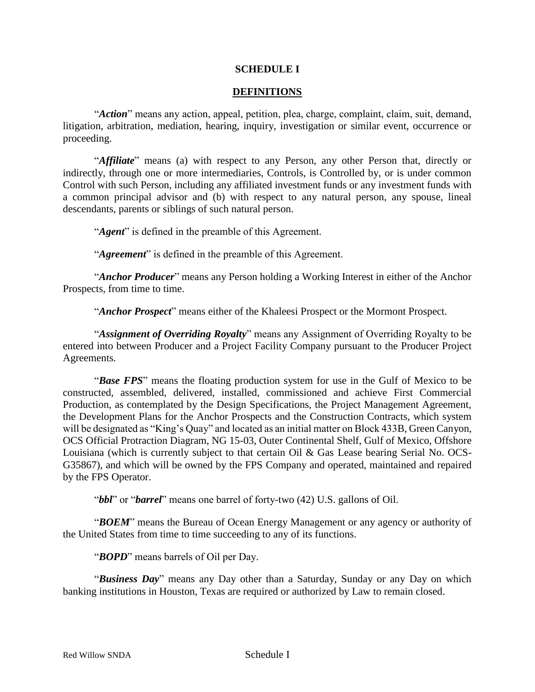### **SCHEDULE I**

### **DEFINITIONS**

"*Action*" means any action, appeal, petition, plea, charge, complaint, claim, suit, demand, litigation, arbitration, mediation, hearing, inquiry, investigation or similar event, occurrence or proceeding.

"*Affiliate*" means (a) with respect to any Person, any other Person that, directly or indirectly, through one or more intermediaries, Controls, is Controlled by, or is under common Control with such Person, including any affiliated investment funds or any investment funds with a common principal advisor and (b) with respect to any natural person, any spouse, lineal descendants, parents or siblings of such natural person.

"*Agent*" is defined in the preamble of this Agreement.

"*Agreement*" is defined in the preamble of this Agreement.

"*Anchor Producer*" means any Person holding a Working Interest in either of the Anchor Prospects, from time to time.

"*Anchor Prospect*" means either of the Khaleesi Prospect or the Mormont Prospect.

"*Assignment of Overriding Royalty*" means any Assignment of Overriding Royalty to be entered into between Producer and a Project Facility Company pursuant to the Producer Project Agreements.

"*Base FPS*" means the floating production system for use in the Gulf of Mexico to be constructed, assembled, delivered, installed, commissioned and achieve First Commercial Production, as contemplated by the Design Specifications, the Project Management Agreement, the Development Plans for the Anchor Prospects and the Construction Contracts, which system will be designated as "King's Quay" and located as an initial matter on Block 433B, Green Canyon, OCS Official Protraction Diagram, NG 15-03, Outer Continental Shelf, Gulf of Mexico, Offshore Louisiana (which is currently subject to that certain Oil & Gas Lease bearing Serial No. OCS-G35867), and which will be owned by the FPS Company and operated, maintained and repaired by the FPS Operator.

"*bbl*" or "*barrel*" means one barrel of forty-two (42) U.S. gallons of Oil.

"*BOEM*" means the Bureau of Ocean Energy Management or any agency or authority of the United States from time to time succeeding to any of its functions.

"*BOPD*" means barrels of Oil per Day.

"*Business Day*" means any Day other than a Saturday, Sunday or any Day on which banking institutions in Houston, Texas are required or authorized by Law to remain closed.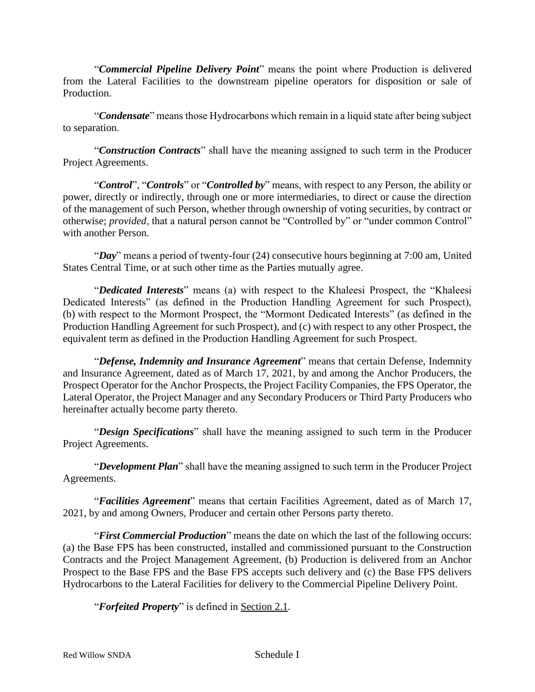"*Commercial Pipeline Delivery Point*" means the point where Production is delivered from the Lateral Facilities to the downstream pipeline operators for disposition or sale of Production.

"*Condensate*" means those Hydrocarbons which remain in a liquid state after being subject to separation.

"*Construction Contracts*" shall have the meaning assigned to such term in the Producer Project Agreements.

"*Control*", "*Controls*" or "*Controlled by*" means, with respect to any Person, the ability or power, directly or indirectly, through one or more intermediaries, to direct or cause the direction of the management of such Person, whether through ownership of voting securities, by contract or otherwise; *provided*, that a natural person cannot be "Controlled by" or "under common Control" with another Person.

"*Day*" means a period of twenty-four (24) consecutive hours beginning at 7:00 am, United States Central Time, or at such other time as the Parties mutually agree.

"*Dedicated Interests*" means (a) with respect to the Khaleesi Prospect, the "Khaleesi Dedicated Interests" (as defined in the Production Handling Agreement for such Prospect), (b) with respect to the Mormont Prospect, the "Mormont Dedicated Interests" (as defined in the Production Handling Agreement for such Prospect), and (c) with respect to any other Prospect, the equivalent term as defined in the Production Handling Agreement for such Prospect.

"*Defense, Indemnity and Insurance Agreement*" means that certain Defense, Indemnity and Insurance Agreement, dated as of March 17, 2021, by and among the Anchor Producers, the Prospect Operator for the Anchor Prospects, the Project Facility Companies, the FPS Operator, the Lateral Operator, the Project Manager and any Secondary Producers or Third Party Producers who hereinafter actually become party thereto.

"*Design Specifications*" shall have the meaning assigned to such term in the Producer Project Agreements.

"*Development Plan*" shall have the meaning assigned to such term in the Producer Project Agreements.

"*Facilities Agreement*" means that certain Facilities Agreement, dated as of March 17, 2021, by and among Owners, Producer and certain other Persons party thereto.

"*First Commercial Production*" means the date on which the last of the following occurs: (a) the Base FPS has been constructed, installed and commissioned pursuant to the Construction Contracts and the Project Management Agreement, (b) Production is delivered from an Anchor Prospect to the Base FPS and the Base FPS accepts such delivery and (c) the Base FPS delivers Hydrocarbons to the Lateral Facilities for delivery to the Commercial Pipeline Delivery Point.

"*Forfeited Property*" is defined in Section 2.1.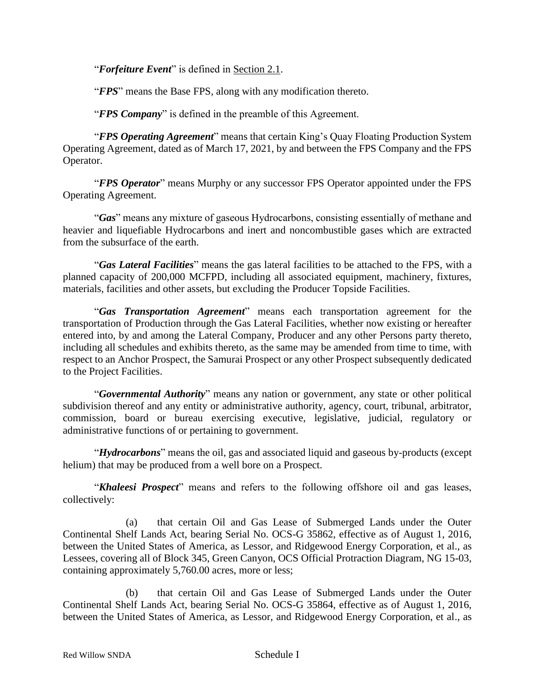"*Forfeiture Event*" is defined in Section 2.1.

"*FPS*" means the Base FPS, along with any modification thereto.

"*FPS Company*" is defined in the preamble of this Agreement.

"*FPS Operating Agreement*" means that certain King's Quay Floating Production System Operating Agreement, dated as of March 17, 2021, by and between the FPS Company and the FPS Operator.

"*FPS Operator*" means Murphy or any successor FPS Operator appointed under the FPS Operating Agreement.

"*Gas*" means any mixture of gaseous Hydrocarbons, consisting essentially of methane and heavier and liquefiable Hydrocarbons and inert and noncombustible gases which are extracted from the subsurface of the earth.

"*Gas Lateral Facilities*" means the gas lateral facilities to be attached to the FPS, with a planned capacity of 200,000 MCFPD, including all associated equipment, machinery, fixtures, materials, facilities and other assets, but excluding the Producer Topside Facilities.

"*Gas Transportation Agreement*" means each transportation agreement for the transportation of Production through the Gas Lateral Facilities, whether now existing or hereafter entered into, by and among the Lateral Company, Producer and any other Persons party thereto, including all schedules and exhibits thereto, as the same may be amended from time to time, with respect to an Anchor Prospect, the Samurai Prospect or any other Prospect subsequently dedicated to the Project Facilities.

"*Governmental Authority*" means any nation or government, any state or other political subdivision thereof and any entity or administrative authority, agency, court, tribunal, arbitrator, commission, board or bureau exercising executive, legislative, judicial, regulatory or administrative functions of or pertaining to government.

"*Hydrocarbons*" means the oil, gas and associated liquid and gaseous by-products (except helium) that may be produced from a well bore on a Prospect.

"*Khaleesi Prospect*" means and refers to the following offshore oil and gas leases, collectively:

(a) that certain Oil and Gas Lease of Submerged Lands under the Outer Continental Shelf Lands Act, bearing Serial No. OCS-G 35862, effective as of August 1, 2016, between the United States of America, as Lessor, and Ridgewood Energy Corporation, et al., as Lessees, covering all of Block 345, Green Canyon, OCS Official Protraction Diagram, NG 15-03, containing approximately 5,760.00 acres, more or less;

(b) that certain Oil and Gas Lease of Submerged Lands under the Outer Continental Shelf Lands Act, bearing Serial No. OCS-G 35864, effective as of August 1, 2016, between the United States of America, as Lessor, and Ridgewood Energy Corporation, et al., as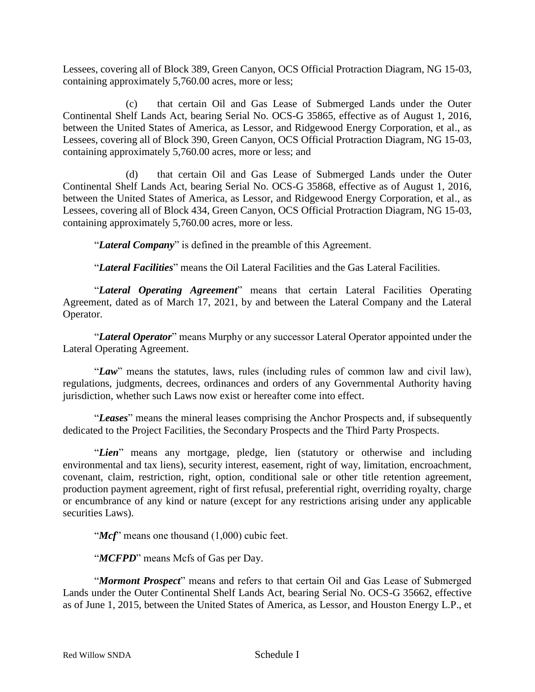Lessees, covering all of Block 389, Green Canyon, OCS Official Protraction Diagram, NG 15-03, containing approximately 5,760.00 acres, more or less;

(c) that certain Oil and Gas Lease of Submerged Lands under the Outer Continental Shelf Lands Act, bearing Serial No. OCS-G 35865, effective as of August 1, 2016, between the United States of America, as Lessor, and Ridgewood Energy Corporation, et al., as Lessees, covering all of Block 390, Green Canyon, OCS Official Protraction Diagram, NG 15-03, containing approximately 5,760.00 acres, more or less; and

(d) that certain Oil and Gas Lease of Submerged Lands under the Outer Continental Shelf Lands Act, bearing Serial No. OCS-G 35868, effective as of August 1, 2016, between the United States of America, as Lessor, and Ridgewood Energy Corporation, et al., as Lessees, covering all of Block 434, Green Canyon, OCS Official Protraction Diagram, NG 15-03, containing approximately 5,760.00 acres, more or less.

"*Lateral Company*" is defined in the preamble of this Agreement.

"*Lateral Facilities*" means the Oil Lateral Facilities and the Gas Lateral Facilities.

"*Lateral Operating Agreement*" means that certain Lateral Facilities Operating Agreement, dated as of March 17, 2021, by and between the Lateral Company and the Lateral Operator.

"*Lateral Operator*" means Murphy or any successor Lateral Operator appointed under the Lateral Operating Agreement.

"*Law*" means the statutes, laws, rules (including rules of common law and civil law), regulations, judgments, decrees, ordinances and orders of any Governmental Authority having jurisdiction, whether such Laws now exist or hereafter come into effect.

"*Leases*" means the mineral leases comprising the Anchor Prospects and, if subsequently dedicated to the Project Facilities, the Secondary Prospects and the Third Party Prospects.

"*Lien*" means any mortgage, pledge, lien (statutory or otherwise and including environmental and tax liens), security interest, easement, right of way, limitation, encroachment, covenant, claim, restriction, right, option, conditional sale or other title retention agreement, production payment agreement, right of first refusal, preferential right, overriding royalty, charge or encumbrance of any kind or nature (except for any restrictions arising under any applicable securities Laws).

"*Mcf*" means one thousand (1,000) cubic feet.

"*MCFPD*" means Mcfs of Gas per Day.

"*Mormont Prospect*" means and refers to that certain Oil and Gas Lease of Submerged Lands under the Outer Continental Shelf Lands Act, bearing Serial No. OCS-G 35662, effective as of June 1, 2015, between the United States of America, as Lessor, and Houston Energy L.P., et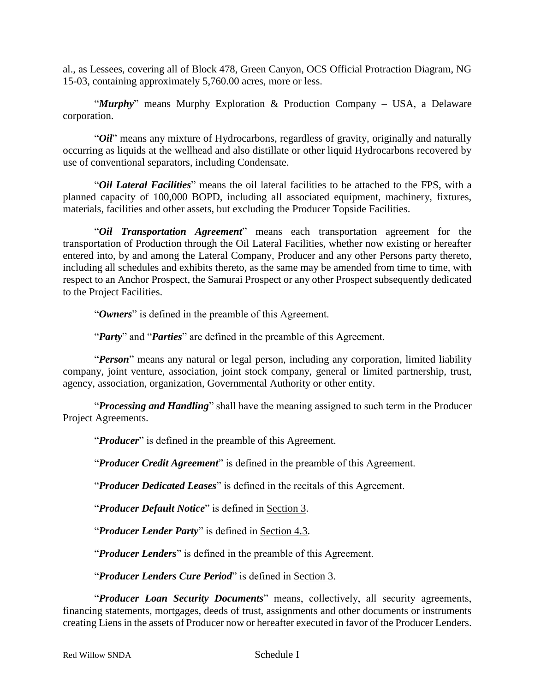al., as Lessees, covering all of Block 478, Green Canyon, OCS Official Protraction Diagram, NG 15-03, containing approximately 5,760.00 acres, more or less.

"*Murphy*" means Murphy Exploration & Production Company – USA, a Delaware corporation.

"*Oil*" means any mixture of Hydrocarbons, regardless of gravity, originally and naturally occurring as liquids at the wellhead and also distillate or other liquid Hydrocarbons recovered by use of conventional separators, including Condensate.

"*Oil Lateral Facilities*" means the oil lateral facilities to be attached to the FPS, with a planned capacity of 100,000 BOPD, including all associated equipment, machinery, fixtures, materials, facilities and other assets, but excluding the Producer Topside Facilities.

"*Oil Transportation Agreement*" means each transportation agreement for the transportation of Production through the Oil Lateral Facilities, whether now existing or hereafter entered into, by and among the Lateral Company, Producer and any other Persons party thereto, including all schedules and exhibits thereto, as the same may be amended from time to time, with respect to an Anchor Prospect, the Samurai Prospect or any other Prospect subsequently dedicated to the Project Facilities.

"*Owners*" is defined in the preamble of this Agreement.

"*Party*" and "*Parties*" are defined in the preamble of this Agreement.

"*Person*" means any natural or legal person, including any corporation, limited liability company, joint venture, association, joint stock company, general or limited partnership, trust, agency, association, organization, Governmental Authority or other entity.

"*Processing and Handling*" shall have the meaning assigned to such term in the Producer Project Agreements.

"*Producer*" is defined in the preamble of this Agreement.

"*Producer Credit Agreement*" is defined in the preamble of this Agreement.

"*Producer Dedicated Leases*" is defined in the recitals of this Agreement.

"*Producer Default Notice*" is defined in Section 3.

"*Producer Lender Party*" is defined in Section 4.3.

"*Producer Lenders*" is defined in the preamble of this Agreement.

"*Producer Lenders Cure Period*" is defined in Section 3.

"*Producer Loan Security Documents*" means, collectively, all security agreements, financing statements, mortgages, deeds of trust, assignments and other documents or instruments creating Liens in the assets of Producer now or hereafter executed in favor of the Producer Lenders.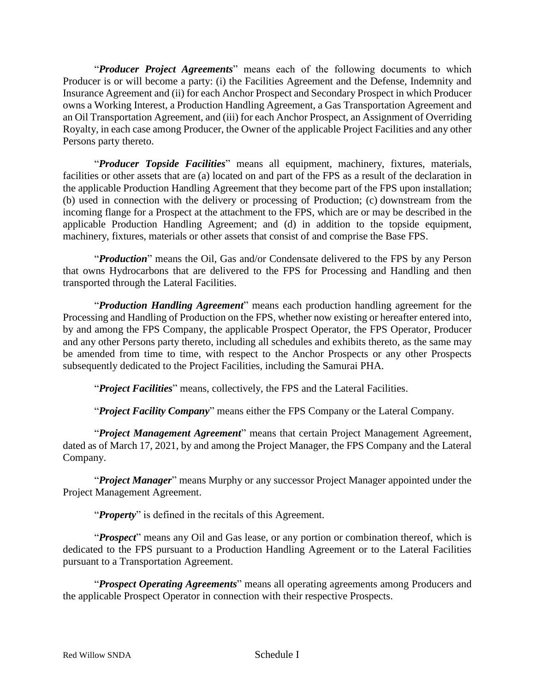"*Producer Project Agreements*" means each of the following documents to which Producer is or will become a party: (i) the Facilities Agreement and the Defense, Indemnity and Insurance Agreement and (ii) for each Anchor Prospect and Secondary Prospect in which Producer owns a Working Interest, a Production Handling Agreement, a Gas Transportation Agreement and an Oil Transportation Agreement, and (iii) for each Anchor Prospect, an Assignment of Overriding Royalty, in each case among Producer, the Owner of the applicable Project Facilities and any other Persons party thereto.

"*Producer Topside Facilities*" means all equipment, machinery, fixtures, materials, facilities or other assets that are (a) located on and part of the FPS as a result of the declaration in the applicable Production Handling Agreement that they become part of the FPS upon installation; (b) used in connection with the delivery or processing of Production; (c) downstream from the incoming flange for a Prospect at the attachment to the FPS, which are or may be described in the applicable Production Handling Agreement; and (d) in addition to the topside equipment, machinery, fixtures, materials or other assets that consist of and comprise the Base FPS.

"*Production*" means the Oil, Gas and/or Condensate delivered to the FPS by any Person that owns Hydrocarbons that are delivered to the FPS for Processing and Handling and then transported through the Lateral Facilities.

"*Production Handling Agreement*" means each production handling agreement for the Processing and Handling of Production on the FPS, whether now existing or hereafter entered into, by and among the FPS Company, the applicable Prospect Operator, the FPS Operator, Producer and any other Persons party thereto, including all schedules and exhibits thereto, as the same may be amended from time to time, with respect to the Anchor Prospects or any other Prospects subsequently dedicated to the Project Facilities, including the Samurai PHA.

"*Project Facilities*" means, collectively, the FPS and the Lateral Facilities.

"*Project Facility Company*" means either the FPS Company or the Lateral Company.

"*Project Management Agreement*" means that certain Project Management Agreement, dated as of March 17, 2021, by and among the Project Manager, the FPS Company and the Lateral Company.

"*Project Manager*" means Murphy or any successor Project Manager appointed under the Project Management Agreement.

"*Property*" is defined in the recitals of this Agreement.

"*Prospect*" means any Oil and Gas lease, or any portion or combination thereof, which is dedicated to the FPS pursuant to a Production Handling Agreement or to the Lateral Facilities pursuant to a Transportation Agreement.

"*Prospect Operating Agreements*" means all operating agreements among Producers and the applicable Prospect Operator in connection with their respective Prospects.